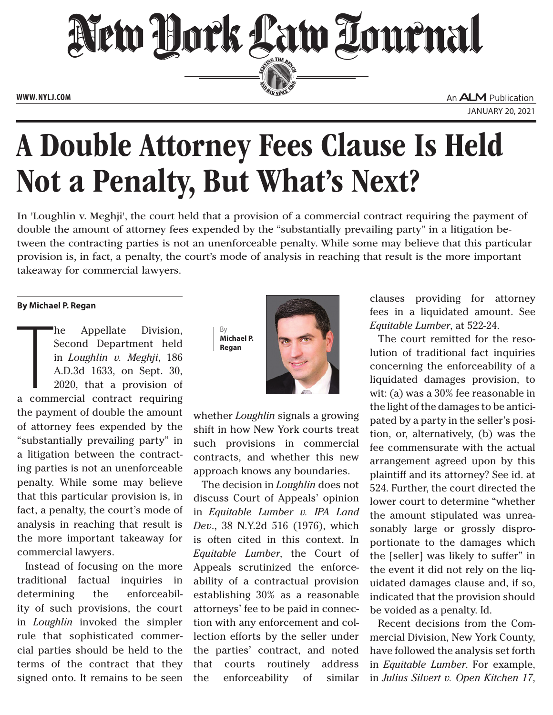

## A Double Attorney Fees Clause Is Held Not a Penalty, But What's Next?

In 'Loughlin v. Meghji', the court held that a provision of a commercial contract requiring the payment of double the amount of attorney fees expended by the "substantially prevailing party" in a litigation between the contracting parties is not an unenforceable penalty. While some may believe that this particular provision is, in fact, a penalty, the court's mode of analysis in reaching that result is the more important takeaway for commercial lawyers.

## **By Michael P. Regan**

The Appellate Division,<br>Second Department held<br>in *Loughlin v. Meghji*, 186<br>A.D.3d 1633, on Sept. 30,<br>2020, that a provision of<br>a commercial contract requiring he Appellate Division, Second Department held in *Loughlin v. Meghji*, 186 A.D.3d 1633, on Sept. 30, 2020, that a provision of the payment of double the amount of attorney fees expended by the "substantially prevailing party" in a litigation between the contracting parties is not an unenforceable penalty. While some may believe that this particular provision is, in fact, a penalty, the court's mode of analysis in reaching that result is the more important takeaway for commercial lawyers.

Instead of focusing on the more traditional factual inquiries in determining the enforceability of such provisions, the court in *Loughlin* invoked the simpler rule that sophisticated commercial parties should be held to the terms of the contract that they signed onto. It remains to be seen





whether *Loughlin* signals a growing shift in how New York courts treat such provisions in commercial contracts, and whether this new approach knows any boundaries.

The decision in *Loughlin* does not discuss Court of Appeals' opinion in *Equitable Lumber v. IPA Land Dev*., 38 N.Y.2d 516 (1976), which is often cited in this context. In *Equitable Lumber*, the Court of Appeals scrutinized the enforceability of a contractual provision establishing 30% as a reasonable attorneys' fee to be paid in connection with any enforcement and collection efforts by the seller under the parties' contract, and noted that courts routinely address the enforceability of similar

clauses providing for attorney fees in a liquidated amount. See *Equitable Lumber*, at 522-24.

The court remitted for the resolution of traditional fact inquiries concerning the enforceability of a liquidated damages provision, to wit: (a) was a 30% fee reasonable in the light of the damages to be anticipated by a party in the seller's position, or, alternatively, (b) was the fee commensurate with the actual arrangement agreed upon by this plaintiff and its attorney? See id. at 524. Further, the court directed the lower court to determine "whether the amount stipulated was unreasonably large or grossly disproportionate to the damages which the [seller] was likely to suffer" in the event it did not rely on the liquidated damages clause and, if so, indicated that the provision should be voided as a penalty. Id.

Recent decisions from the Commercial Division, New York County, have followed the analysis set forth in *Equitable Lumber*. For example, in *Julius Silvert v. Open Kitchen 17*,